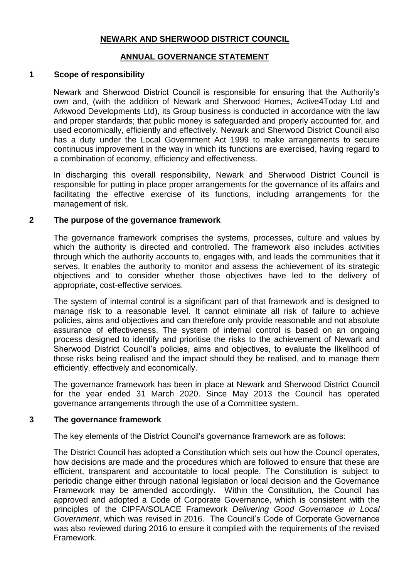## **NEWARK AND SHERWOOD DISTRICT COUNCIL**

## **ANNUAL GOVERNANCE STATEMENT**

## **1 Scope of responsibility**

Newark and Sherwood District Council is responsible for ensuring that the Authority's own and, (with the addition of Newark and Sherwood Homes, Active4Today Ltd and Arkwood Developments Ltd), its Group business is conducted in accordance with the law and proper standards; that public money is safeguarded and properly accounted for, and used economically, efficiently and effectively. Newark and Sherwood District Council also has a duty under the Local Government Act 1999 to make arrangements to secure continuous improvement in the way in which its functions are exercised, having regard to a combination of economy, efficiency and effectiveness.

In discharging this overall responsibility, Newark and Sherwood District Council is responsible for putting in place proper arrangements for the governance of its affairs and facilitating the effective exercise of its functions, including arrangements for the management of risk.

### **2 The purpose of the governance framework**

The governance framework comprises the systems, processes, culture and values by which the authority is directed and controlled. The framework also includes activities through which the authority accounts to, engages with, and leads the communities that it serves. It enables the authority to monitor and assess the achievement of its strategic objectives and to consider whether those objectives have led to the delivery of appropriate, cost-effective services.

The system of internal control is a significant part of that framework and is designed to manage risk to a reasonable level. It cannot eliminate all risk of failure to achieve policies, aims and objectives and can therefore only provide reasonable and not absolute assurance of effectiveness. The system of internal control is based on an ongoing process designed to identify and prioritise the risks to the achievement of Newark and Sherwood District Council's policies, aims and objectives, to evaluate the likelihood of those risks being realised and the impact should they be realised, and to manage them efficiently, effectively and economically.

The governance framework has been in place at Newark and Sherwood District Council for the year ended 31 March 2020. Since May 2013 the Council has operated governance arrangements through the use of a Committee system.

#### **3 The governance framework**

The key elements of the District Council's governance framework are as follows:

The District Council has adopted a Constitution which sets out how the Council operates, how decisions are made and the procedures which are followed to ensure that these are efficient, transparent and accountable to local people. The Constitution is subject to periodic change either through national legislation or local decision and the Governance Framework may be amended accordingly. Within the Constitution, the Council has approved and adopted a Code of Corporate Governance, which is consistent with the principles of the CIPFA/SOLACE Framework *Delivering Good Governance in Local Government*, which was revised in 2016. The Council's Code of Corporate Governance was also reviewed during 2016 to ensure it complied with the requirements of the revised Framework.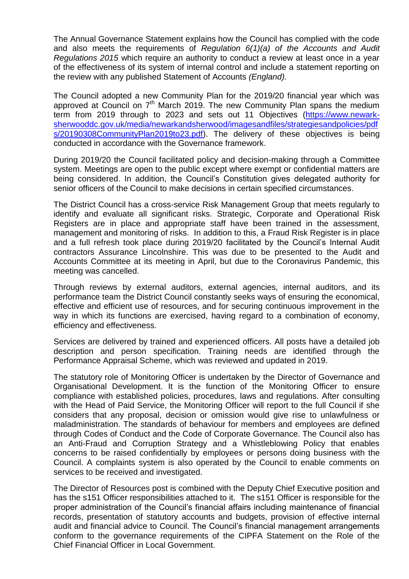The Annual Governance Statement explains how the Council has complied with the code and also meets the requirements of *Regulation 6(1)(a) of the Accounts and Audit Regulations 2015* which require an authority to conduct a review at least once in a year of the effectiveness of its system of internal control and include a statement reporting on the review with any published Statement of Accounts *(England).* 

The Council adopted a new Community Plan for the 2019/20 financial year which was approved at Council on  $7<sup>th</sup>$  March 2019. The new Community Plan spans the medium term from 2019 through to 2023 and sets out 11 Objectives [\(https://www.newark](https://www.newark-sherwooddc.gov.uk/media/newarkandsherwood/imagesandfiles/strategiesandpolicies/pdfs/20190308CommunityPlan2019to23.pdf)[sherwooddc.gov.uk/media/newarkandsherwood/imagesandfiles/strategiesandpolicies/pdf](https://www.newark-sherwooddc.gov.uk/media/newarkandsherwood/imagesandfiles/strategiesandpolicies/pdfs/20190308CommunityPlan2019to23.pdf) [s/20190308CommunityPlan2019to23.pdf\)](https://www.newark-sherwooddc.gov.uk/media/newarkandsherwood/imagesandfiles/strategiesandpolicies/pdfs/20190308CommunityPlan2019to23.pdf). The delivery of these objectives is being conducted in accordance with the Governance framework.

During 2019/20 the Council facilitated policy and decision-making through a Committee system. Meetings are open to the public except where exempt or confidential matters are being considered. In addition, the Council's Constitution gives delegated authority for senior officers of the Council to make decisions in certain specified circumstances.

The District Council has a cross-service Risk Management Group that meets regularly to identify and evaluate all significant risks. Strategic, Corporate and Operational Risk Registers are in place and appropriate staff have been trained in the assessment, management and monitoring of risks. In addition to this, a Fraud Risk Register is in place and a full refresh took place during 2019/20 facilitated by the Council's Internal Audit contractors Assurance Lincolnshire. This was due to be presented to the Audit and Accounts Committee at its meeting in April, but due to the Coronavirus Pandemic, this meeting was cancelled.

Through reviews by external auditors, external agencies, internal auditors, and its performance team the District Council constantly seeks ways of ensuring the economical, effective and efficient use of resources, and for securing continuous improvement in the way in which its functions are exercised, having regard to a combination of economy, efficiency and effectiveness.

Services are delivered by trained and experienced officers. All posts have a detailed job description and person specification. Training needs are identified through the Performance Appraisal Scheme, which was reviewed and updated in 2019.

The statutory role of Monitoring Officer is undertaken by the Director of Governance and Organisational Development. It is the function of the Monitoring Officer to ensure compliance with established policies, procedures, laws and regulations. After consulting with the Head of Paid Service, the Monitoring Officer will report to the full Council if she considers that any proposal, decision or omission would give rise to unlawfulness or maladministration. The standards of behaviour for members and employees are defined through Codes of Conduct and the Code of Corporate Governance. The Council also has an Anti-Fraud and Corruption Strategy and a Whistleblowing Policy that enables concerns to be raised confidentially by employees or persons doing business with the Council. A complaints system is also operated by the Council to enable comments on services to be received and investigated.

The Director of Resources post is combined with the Deputy Chief Executive position and has the s151 Officer responsibilities attached to it. The s151 Officer is responsible for the proper administration of the Council's financial affairs including maintenance of financial records, presentation of statutory accounts and budgets, provision of effective internal audit and financial advice to Council. The Council's financial management arrangements conform to the governance requirements of the CIPFA Statement on the Role of the Chief Financial Officer in Local Government.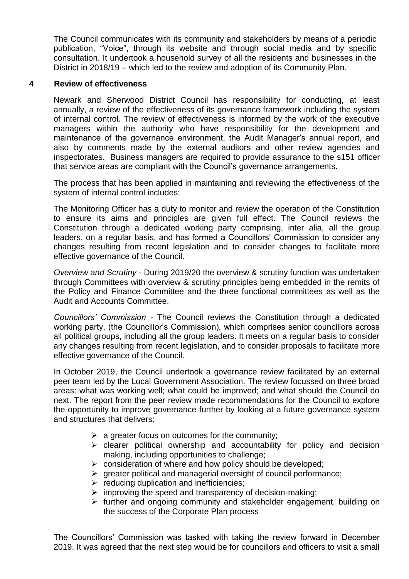The Council communicates with its community and stakeholders by means of a periodic publication, "Voice", through its website and through social media and by specific consultation. It undertook a household survey of all the residents and businesses in the District in 2018/19 – which led to the review and adoption of its Community Plan.

## **4 Review of effectiveness**

Newark and Sherwood District Council has responsibility for conducting, at least annually, a review of the effectiveness of its governance framework including the system of internal control. The review of effectiveness is informed by the work of the executive managers within the authority who have responsibility for the development and maintenance of the governance environment, the Audit Manager's annual report, and also by comments made by the external auditors and other review agencies and inspectorates. Business managers are required to provide assurance to the s151 officer that service areas are compliant with the Council's governance arrangements.

The process that has been applied in maintaining and reviewing the effectiveness of the system of internal control includes:

The Monitoring Officer has a duty to monitor and review the operation of the Constitution to ensure its aims and principles are given full effect. The Council reviews the Constitution through a dedicated working party comprising, inter alia, all the group leaders, on a regular basis, and has formed a Councillors' Commission to consider any changes resulting from recent legislation and to consider changes to facilitate more effective governance of the Council.

*Overview and Scrutiny* - During 2019/20 the overview & scrutiny function was undertaken through Committees with overview & scrutiny principles being embedded in the remits of the Policy and Finance Committee and the three functional committees as well as the Audit and Accounts Committee.

*Councillors' Commission -* The Council reviews the Constitution through a dedicated working party, (the Councillor's Commission), which comprises senior councillors across all political groups, including all the group leaders. It meets on a regular basis to consider any changes resulting from recent legislation, and to consider proposals to facilitate more effective governance of the Council.

In October 2019, the Council undertook a governance review facilitated by an external peer team led by the Local Government Association. The review focussed on three broad areas: what was working well; what could be improved; and what should the Council do next. The report from the peer review made recommendations for the Council to explore the opportunity to improve governance further by looking at a future governance system and structures that delivers:

- $\triangleright$  a greater focus on outcomes for the community;
- $\triangleright$  clearer political ownership and accountability for policy and decision making, including opportunities to challenge;
- $\triangleright$  consideration of where and how policy should be developed;
- $\triangleright$  greater political and managerial oversight of council performance;
- $\triangleright$  reducing duplication and inefficiencies;
- $\triangleright$  improving the speed and transparency of decision-making;
- $\triangleright$  further and ongoing community and stakeholder engagement, building on the success of the Corporate Plan process

The Councillors' Commission was tasked with taking the review forward in December 2019. It was agreed that the next step would be for councillors and officers to visit a small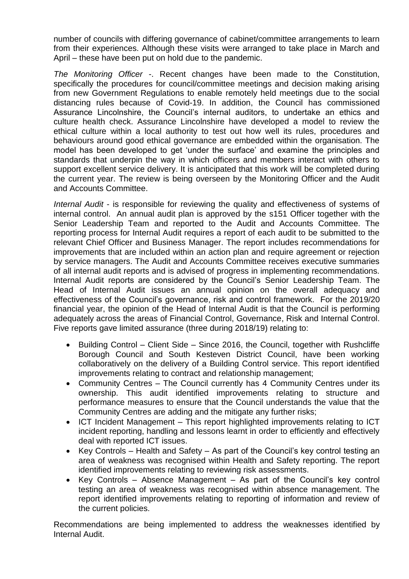number of councils with differing governance of cabinet/committee arrangements to learn from their experiences. Although these visits were arranged to take place in March and April – these have been put on hold due to the pandemic.

*The Monitoring Officer* -. Recent changes have been made to the Constitution, specifically the procedures for council/committee meetings and decision making arising from new Government Regulations to enable remotely held meetings due to the social distancing rules because of Covid-19. In addition, the Council has commissioned Assurance Lincolnshire, the Council's internal auditors, to undertake an ethics and culture health check. Assurance Lincolnshire have developed a model to review the ethical culture within a local authority to test out how well its rules, procedures and behaviours around good ethical governance are embedded within the organisation. The model has been developed to get 'under the surface' and examine the principles and standards that underpin the way in which officers and members interact with others to support excellent service delivery. It is anticipated that this work will be completed during the current year. The review is being overseen by the Monitoring Officer and the Audit and Accounts Committee.

*Internal Audit* - is responsible for reviewing the quality and effectiveness of systems of internal control. An annual audit plan is approved by the s151 Officer together with the Senior Leadership Team and reported to the Audit and Accounts Committee. The reporting process for Internal Audit requires a report of each audit to be submitted to the relevant Chief Officer and Business Manager. The report includes recommendations for improvements that are included within an action plan and require agreement or rejection by service managers. The Audit and Accounts Committee receives executive summaries of all internal audit reports and is advised of progress in implementing recommendations. Internal Audit reports are considered by the Council's Senior Leadership Team. The Head of Internal Audit issues an annual opinion on the overall adequacy and effectiveness of the Council's governance, risk and control framework. For the 2019/20 financial year, the opinion of the Head of Internal Audit is that the Council is performing adequately across the areas of Financial Control, Governance, Risk and Internal Control. Five reports gave limited assurance (three during 2018/19) relating to:

- Building Control Client Side Since 2016, the Council, together with Rushcliffe Borough Council and South Kesteven District Council, have been working collaboratively on the delivery of a Building Control service. This report identified improvements relating to contract and relationship management;
- Community Centres The Council currently has 4 Community Centres under its ownership. This audit identified improvements relating to structure and performance measures to ensure that the Council understands the value that the Community Centres are adding and the mitigate any further risks;
- ICT Incident Management This report highlighted improvements relating to ICT incident reporting, handling and lessons learnt in order to efficiently and effectively deal with reported ICT issues.
- Key Controls Health and Safety As part of the Council's key control testing an area of weakness was recognised within Health and Safety reporting. The report identified improvements relating to reviewing risk assessments.
- Key Controls Absence Management As part of the Council's key control testing an area of weakness was recognised within absence management. The report identified improvements relating to reporting of information and review of the current policies.

Recommendations are being implemented to address the weaknesses identified by Internal Audit.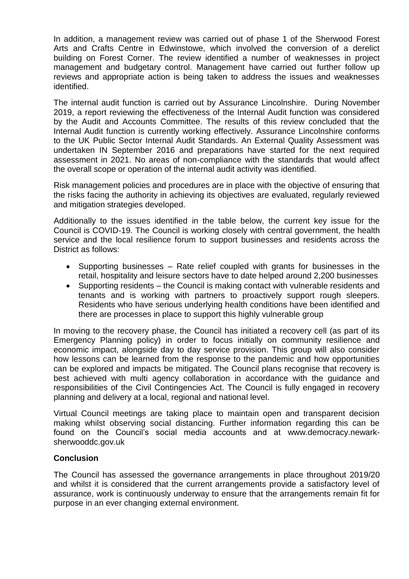In addition, a management review was carried out of phase 1 of the Sherwood Forest Arts and Crafts Centre in Edwinstowe, which involved the conversion of a derelict building on Forest Corner. The review identified a number of weaknesses in project management and budgetary control. Management have carried out further follow up reviews and appropriate action is being taken to address the issues and weaknesses identified.

The internal audit function is carried out by Assurance Lincolnshire. During November 2019, a report reviewing the effectiveness of the Internal Audit function was considered by the Audit and Accounts Committee. The results of this review concluded that the Internal Audit function is currently working effectively. Assurance Lincolnshire conforms to the UK Public Sector Internal Audit Standards. An External Quality Assessment was undertaken IN September 2016 and preparations have started for the next required assessment in 2021. No areas of non-compliance with the standards that would affect the overall scope or operation of the internal audit activity was identified.

Risk management policies and procedures are in place with the objective of ensuring that the risks facing the authority in achieving its objectives are evaluated, regularly reviewed and mitigation strategies developed.

Additionally to the issues identified in the table below, the current key issue for the Council is COVID-19. The Council is working closely with central government, the health service and the local resilience forum to support businesses and residents across the District as follows:

- Supporting businesses Rate relief coupled with grants for businesses in the retail, hospitality and leisure sectors have to date helped around 2,200 businesses
- Supporting residents the Council is making contact with vulnerable residents and tenants and is working with partners to proactively support rough sleepers. Residents who have serious underlying health conditions have been identified and there are processes in place to support this highly vulnerable group

In moving to the recovery phase, the Council has initiated a recovery cell (as part of its Emergency Planning policy) in order to focus initially on community resilience and economic impact, alongside day to day service provision. This group will also consider how lessons can be learned from the response to the pandemic and how opportunities can be explored and impacts be mitigated. The Council plans recognise that recovery is best achieved with multi agency collaboration in accordance with the guidance and responsibilities of the Civil Contingencies Act. The Council is fully engaged in recovery planning and delivery at a local, regional and national level.

Virtual Council meetings are taking place to maintain open and transparent decision making whilst observing social distancing. Further information regarding this can be found on the Council's social media accounts and at www.democracy.newarksherwooddc.gov.uk

## **Conclusion**

The Council has assessed the governance arrangements in place throughout 2019/20 and whilst it is considered that the current arrangements provide a satisfactory level of assurance, work is continuously underway to ensure that the arrangements remain fit for purpose in an ever changing external environment.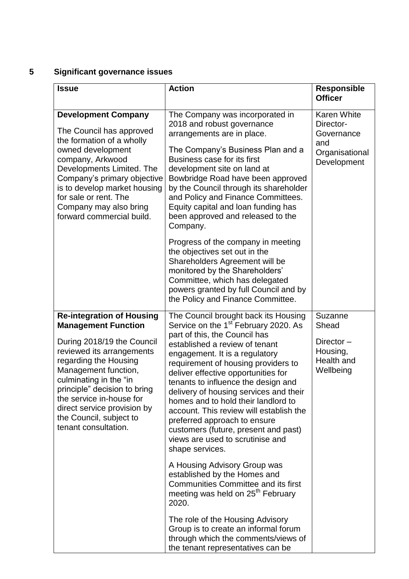# **5 Significant governance issues**

| <b>Issue</b>                                                                                                                                                                                                                                                                                                                                       | <b>Action</b>                                                                                                                                                                                                                                                                                                                                                                                                                                                                                                                                                                 | <b>Responsible</b><br><b>Officer</b>                                                  |
|----------------------------------------------------------------------------------------------------------------------------------------------------------------------------------------------------------------------------------------------------------------------------------------------------------------------------------------------------|-------------------------------------------------------------------------------------------------------------------------------------------------------------------------------------------------------------------------------------------------------------------------------------------------------------------------------------------------------------------------------------------------------------------------------------------------------------------------------------------------------------------------------------------------------------------------------|---------------------------------------------------------------------------------------|
| <b>Development Company</b><br>The Council has approved<br>the formation of a wholly<br>owned development<br>company, Arkwood<br>Developments Limited. The<br>Company's primary objective<br>is to develop market housing<br>for sale or rent. The<br>Company may also bring<br>forward commercial build.                                           | The Company was incorporated in<br>2018 and robust governance<br>arrangements are in place.<br>The Company's Business Plan and a<br>Business case for its first<br>development site on land at<br>Bowbridge Road have been approved<br>by the Council through its shareholder<br>and Policy and Finance Committees.<br>Equity capital and loan funding has<br>been approved and released to the<br>Company.                                                                                                                                                                   | <b>Karen White</b><br>Director-<br>Governance<br>and<br>Organisational<br>Development |
|                                                                                                                                                                                                                                                                                                                                                    | Progress of the company in meeting<br>the objectives set out in the<br>Shareholders Agreement will be<br>monitored by the Shareholders'<br>Committee, which has delegated<br>powers granted by full Council and by<br>the Policy and Finance Committee.                                                                                                                                                                                                                                                                                                                       |                                                                                       |
| <b>Re-integration of Housing</b><br><b>Management Function</b><br>During 2018/19 the Council<br>reviewed its arrangements<br>regarding the Housing<br>Management function,<br>culminating in the "in<br>principle" decision to bring<br>the service in-house for<br>direct service provision by<br>the Council, subject to<br>tenant consultation. | The Council brought back its Housing<br>Service on the 1 <sup>st</sup> February 2020. As<br>part of this, the Council has<br>established a review of tenant<br>engagement. It is a regulatory<br>requirement of housing providers to<br>deliver effective opportunities for<br>tenants to influence the design and<br>delivery of housing services and their<br>homes and to hold their landlord to<br>account. This review will establish the<br>preferred approach to ensure<br>customers (future, present and past)<br>views are used to scrutinise and<br>shape services. | Suzanne<br>Shead<br>Director-<br>Housing,<br>Health and<br>Wellbeing                  |
|                                                                                                                                                                                                                                                                                                                                                    | A Housing Advisory Group was<br>established by the Homes and<br><b>Communities Committee and its first</b><br>meeting was held on 25 <sup>th</sup> February<br>2020.                                                                                                                                                                                                                                                                                                                                                                                                          |                                                                                       |
|                                                                                                                                                                                                                                                                                                                                                    | The role of the Housing Advisory<br>Group is to create an informal forum<br>through which the comments/views of<br>the tenant representatives can be                                                                                                                                                                                                                                                                                                                                                                                                                          |                                                                                       |